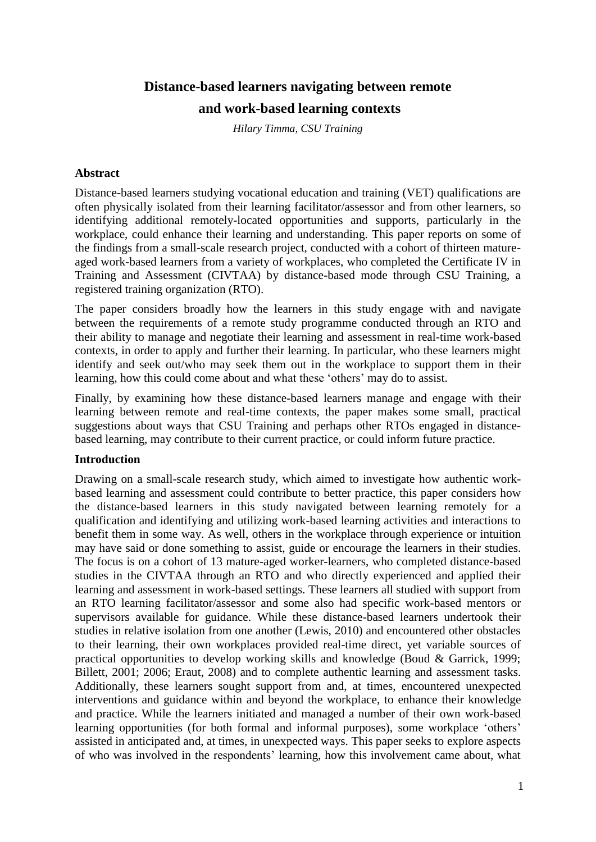# **Distance-based learners navigating between remote**

## **and work-based learning contexts**

*Hilary Timma, CSU Training*

#### **Abstract**

Distance-based learners studying vocational education and training (VET) qualifications are often physically isolated from their learning facilitator/assessor and from other learners, so identifying additional remotely-located opportunities and supports, particularly in the workplace, could enhance their learning and understanding. This paper reports on some of the findings from a small-scale research project, conducted with a cohort of thirteen matureaged work-based learners from a variety of workplaces, who completed the Certificate IV in Training and Assessment (CIVTAA) by distance-based mode through CSU Training, a registered training organization (RTO).

The paper considers broadly how the learners in this study engage with and navigate between the requirements of a remote study programme conducted through an RTO and their ability to manage and negotiate their learning and assessment in real-time work-based contexts, in order to apply and further their learning. In particular, who these learners might identify and seek out/who may seek them out in the workplace to support them in their learning, how this could come about and what these 'others' may do to assist.

Finally, by examining how these distance-based learners manage and engage with their learning between remote and real-time contexts, the paper makes some small, practical suggestions about ways that CSU Training and perhaps other RTOs engaged in distancebased learning, may contribute to their current practice, or could inform future practice.

#### **Introduction**

Drawing on a small-scale research study, which aimed to investigate how authentic workbased learning and assessment could contribute to better practice, this paper considers how the distance-based learners in this study navigated between learning remotely for a qualification and identifying and utilizing work-based learning activities and interactions to benefit them in some way. As well, others in the workplace through experience or intuition may have said or done something to assist, guide or encourage the learners in their studies. The focus is on a cohort of 13 mature-aged worker-learners, who completed distance-based studies in the CIVTAA through an RTO and who directly experienced and applied their learning and assessment in work-based settings. These learners all studied with support from an RTO learning facilitator/assessor and some also had specific work-based mentors or supervisors available for guidance. While these distance-based learners undertook their studies in relative isolation from one another (Lewis, 2010) and encountered other obstacles to their learning, their own workplaces provided real-time direct, yet variable sources of practical opportunities to develop working skills and knowledge (Boud & Garrick, 1999; Billett, 2001; 2006; Eraut, 2008) and to complete authentic learning and assessment tasks. Additionally, these learners sought support from and, at times, encountered unexpected interventions and guidance within and beyond the workplace, to enhance their knowledge and practice. While the learners initiated and managed a number of their own work-based learning opportunities (for both formal and informal purposes), some workplace 'others' assisted in anticipated and, at times, in unexpected ways. This paper seeks to explore aspects of who was involved in the respondents' learning, how this involvement came about, what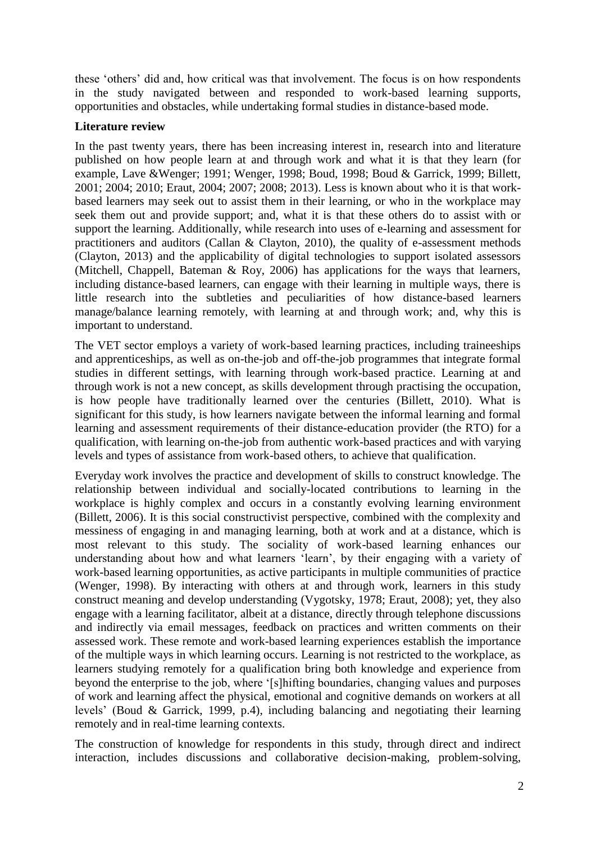these 'others' did and, how critical was that involvement. The focus is on how respondents in the study navigated between and responded to work-based learning supports, opportunities and obstacles, while undertaking formal studies in distance-based mode.

## **Literature review**

In the past twenty years, there has been increasing interest in, research into and literature published on how people learn at and through work and what it is that they learn (for example, Lave &Wenger; 1991; Wenger, 1998; Boud, 1998; Boud & Garrick, 1999; Billett, 2001; 2004; 2010; Eraut, 2004; 2007; 2008; 2013). Less is known about who it is that workbased learners may seek out to assist them in their learning, or who in the workplace may seek them out and provide support; and, what it is that these others do to assist with or support the learning. Additionally, while research into uses of e-learning and assessment for practitioners and auditors (Callan & Clayton, 2010), the quality of e-assessment methods (Clayton, 2013) and the applicability of digital technologies to support isolated assessors (Mitchell, Chappell, Bateman & Roy, 2006) has applications for the ways that learners, including distance-based learners, can engage with their learning in multiple ways, there is little research into the subtleties and peculiarities of how distance-based learners manage/balance learning remotely, with learning at and through work; and, why this is important to understand.

The VET sector employs a variety of work-based learning practices, including traineeships and apprenticeships, as well as on-the-job and off-the-job programmes that integrate formal studies in different settings, with learning through work-based practice. Learning at and through work is not a new concept, as skills development through practising the occupation, is how people have traditionally learned over the centuries (Billett, 2010). What is significant for this study, is how learners navigate between the informal learning and formal learning and assessment requirements of their distance-education provider (the RTO) for a qualification, with learning on-the-job from authentic work-based practices and with varying levels and types of assistance from work-based others, to achieve that qualification.

Everyday work involves the practice and development of skills to construct knowledge. The relationship between individual and socially-located contributions to learning in the workplace is highly complex and occurs in a constantly evolving learning environment (Billett, 2006). It is this social constructivist perspective, combined with the complexity and messiness of engaging in and managing learning, both at work and at a distance, which is most relevant to this study. The sociality of work-based learning enhances our understanding about how and what learners 'learn', by their engaging with a variety of work-based learning opportunities, as active participants in multiple communities of practice (Wenger, 1998). By interacting with others at and through work, learners in this study construct meaning and develop understanding (Vygotsky, 1978; Eraut, 2008); yet, they also engage with a learning facilitator, albeit at a distance, directly through telephone discussions and indirectly via email messages, feedback on practices and written comments on their assessed work. These remote and work-based learning experiences establish the importance of the multiple ways in which learning occurs. Learning is not restricted to the workplace, as learners studying remotely for a qualification bring both knowledge and experience from beyond the enterprise to the job, where '[s]hifting boundaries, changing values and purposes of work and learning affect the physical, emotional and cognitive demands on workers at all levels' (Boud & Garrick, 1999, p.4), including balancing and negotiating their learning remotely and in real-time learning contexts.

The construction of knowledge for respondents in this study, through direct and indirect interaction, includes discussions and collaborative decision-making, problem-solving,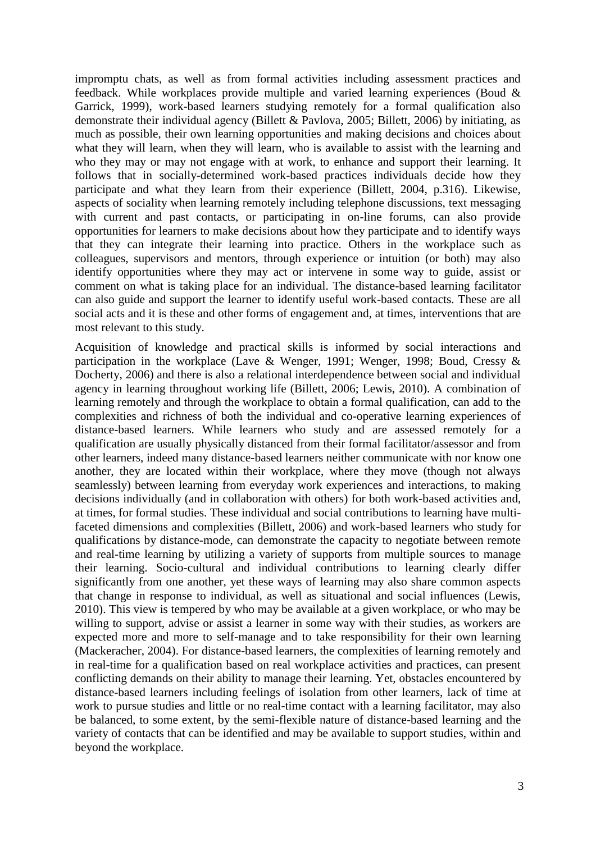impromptu chats, as well as from formal activities including assessment practices and feedback. While workplaces provide multiple and varied learning experiences (Boud & Garrick, 1999), work-based learners studying remotely for a formal qualification also demonstrate their individual agency (Billett & Pavlova, 2005; Billett, 2006) by initiating, as much as possible, their own learning opportunities and making decisions and choices about what they will learn, when they will learn, who is available to assist with the learning and who they may or may not engage with at work, to enhance and support their learning. It follows that in socially-determined work-based practices individuals decide how they participate and what they learn from their experience (Billett, 2004, p.316). Likewise, aspects of sociality when learning remotely including telephone discussions, text messaging with current and past contacts, or participating in on-line forums, can also provide opportunities for learners to make decisions about how they participate and to identify ways that they can integrate their learning into practice. Others in the workplace such as colleagues, supervisors and mentors, through experience or intuition (or both) may also identify opportunities where they may act or intervene in some way to guide, assist or comment on what is taking place for an individual. The distance-based learning facilitator can also guide and support the learner to identify useful work-based contacts. These are all social acts and it is these and other forms of engagement and, at times, interventions that are most relevant to this study.

Acquisition of knowledge and practical skills is informed by social interactions and participation in the workplace (Lave & Wenger, 1991; Wenger, 1998; Boud, Cressy & Docherty, 2006) and there is also a relational interdependence between social and individual agency in learning throughout working life (Billett, 2006; Lewis, 2010). A combination of learning remotely and through the workplace to obtain a formal qualification, can add to the complexities and richness of both the individual and co-operative learning experiences of distance-based learners. While learners who study and are assessed remotely for a qualification are usually physically distanced from their formal facilitator/assessor and from other learners, indeed many distance-based learners neither communicate with nor know one another, they are located within their workplace, where they move (though not always seamlessly) between learning from everyday work experiences and interactions, to making decisions individually (and in collaboration with others) for both work-based activities and, at times, for formal studies. These individual and social contributions to learning have multifaceted dimensions and complexities (Billett, 2006) and work-based learners who study for qualifications by distance-mode, can demonstrate the capacity to negotiate between remote and real-time learning by utilizing a variety of supports from multiple sources to manage their learning. Socio-cultural and individual contributions to learning clearly differ significantly from one another, yet these ways of learning may also share common aspects that change in response to individual, as well as situational and social influences (Lewis, 2010). This view is tempered by who may be available at a given workplace, or who may be willing to support, advise or assist a learner in some way with their studies, as workers are expected more and more to self-manage and to take responsibility for their own learning (Mackeracher, 2004). For distance-based learners, the complexities of learning remotely and in real-time for a qualification based on real workplace activities and practices, can present conflicting demands on their ability to manage their learning. Yet, obstacles encountered by distance-based learners including feelings of isolation from other learners, lack of time at work to pursue studies and little or no real-time contact with a learning facilitator, may also be balanced, to some extent, by the semi-flexible nature of distance-based learning and the variety of contacts that can be identified and may be available to support studies, within and beyond the workplace.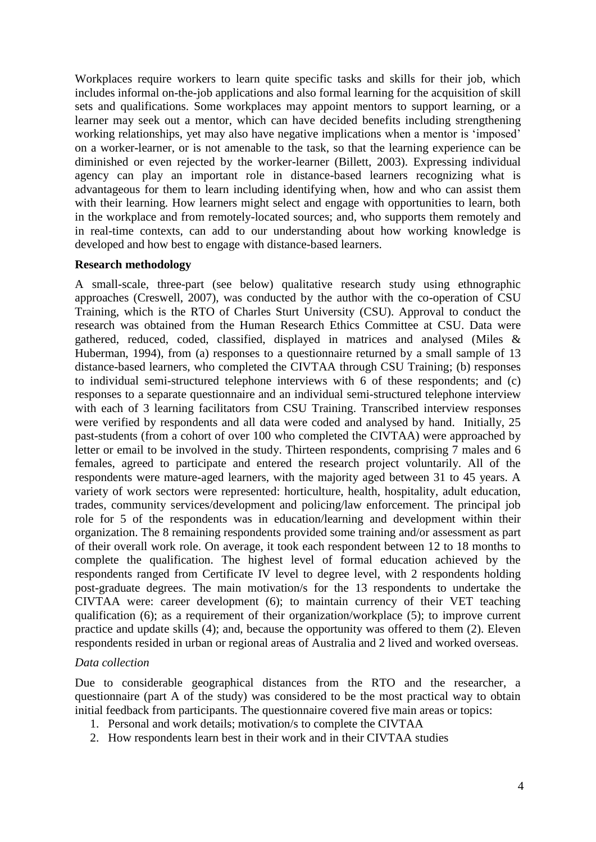Workplaces require workers to learn quite specific tasks and skills for their job, which includes informal on-the-job applications and also formal learning for the acquisition of skill sets and qualifications. Some workplaces may appoint mentors to support learning, or a learner may seek out a mentor, which can have decided benefits including strengthening working relationships, yet may also have negative implications when a mentor is 'imposed' on a worker-learner, or is not amenable to the task, so that the learning experience can be diminished or even rejected by the worker-learner (Billett, 2003). Expressing individual agency can play an important role in distance-based learners recognizing what is advantageous for them to learn including identifying when, how and who can assist them with their learning. How learners might select and engage with opportunities to learn, both in the workplace and from remotely-located sources; and, who supports them remotely and in real-time contexts, can add to our understanding about how working knowledge is developed and how best to engage with distance-based learners.

#### **Research methodology**

A small-scale, three-part (see below) qualitative research study using ethnographic approaches (Creswell, 2007), was conducted by the author with the co-operation of CSU Training, which is the RTO of Charles Sturt University (CSU). Approval to conduct the research was obtained from the Human Research Ethics Committee at CSU. Data were gathered, reduced, coded, classified, displayed in matrices and analysed (Miles & Huberman, 1994), from (a) responses to a questionnaire returned by a small sample of 13 distance-based learners, who completed the CIVTAA through CSU Training; (b) responses to individual semi-structured telephone interviews with 6 of these respondents; and (c) responses to a separate questionnaire and an individual semi-structured telephone interview with each of 3 learning facilitators from CSU Training. Transcribed interview responses were verified by respondents and all data were coded and analysed by hand. Initially, 25 past-students (from a cohort of over 100 who completed the CIVTAA) were approached by letter or email to be involved in the study. Thirteen respondents, comprising 7 males and 6 females, agreed to participate and entered the research project voluntarily. All of the respondents were mature-aged learners, with the majority aged between 31 to 45 years. A variety of work sectors were represented: horticulture, health, hospitality, adult education, trades, community services/development and policing/law enforcement. The principal job role for 5 of the respondents was in education/learning and development within their organization. The 8 remaining respondents provided some training and/or assessment as part of their overall work role. On average, it took each respondent between 12 to 18 months to complete the qualification. The highest level of formal education achieved by the respondents ranged from Certificate IV level to degree level, with 2 respondents holding post-graduate degrees. The main motivation/s for the 13 respondents to undertake the CIVTAA were: career development (6); to maintain currency of their VET teaching qualification (6); as a requirement of their organization/workplace (5); to improve current practice and update skills (4); and, because the opportunity was offered to them (2). Eleven respondents resided in urban or regional areas of Australia and 2 lived and worked overseas.

#### *Data collection*

Due to considerable geographical distances from the RTO and the researcher, a questionnaire (part A of the study) was considered to be the most practical way to obtain initial feedback from participants. The questionnaire covered five main areas or topics:

- 1. Personal and work details; motivation/s to complete the CIVTAA
- 2. How respondents learn best in their work and in their CIVTAA studies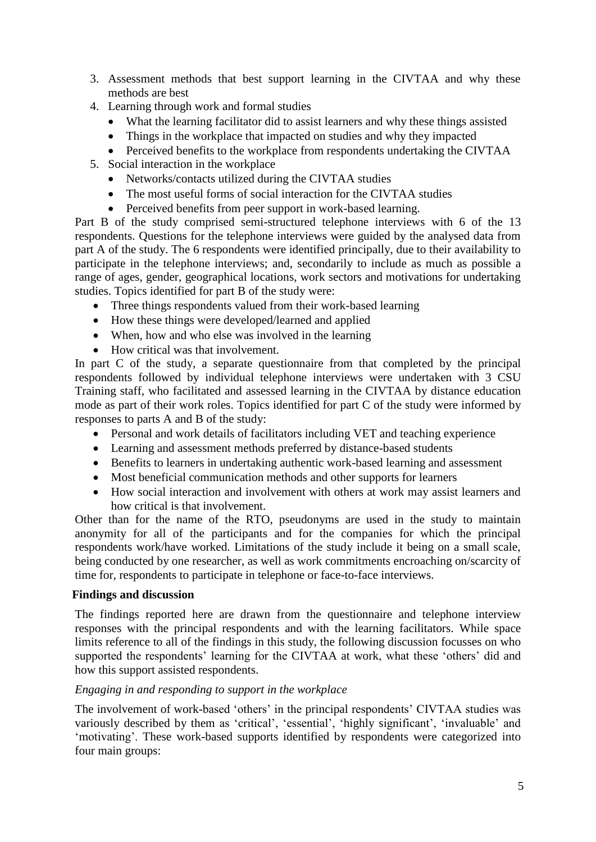- 3. Assessment methods that best support learning in the CIVTAA and why these methods are best
- 4. Learning through work and formal studies
	- What the learning facilitator did to assist learners and why these things assisted
	- Things in the workplace that impacted on studies and why they impacted
	- Perceived benefits to the workplace from respondents undertaking the CIVTAA
- 5. Social interaction in the workplace
	- Networks/contacts utilized during the CIVTAA studies
	- The most useful forms of social interaction for the CIVTAA studies
	- Perceived benefits from peer support in work-based learning.

Part B of the study comprised semi-structured telephone interviews with 6 of the 13 respondents. Questions for the telephone interviews were guided by the analysed data from part A of the study. The 6 respondents were identified principally, due to their availability to participate in the telephone interviews; and, secondarily to include as much as possible a range of ages, gender, geographical locations, work sectors and motivations for undertaking studies. Topics identified for part B of the study were:

- Three things respondents valued from their work-based learning
- How these things were developed/learned and applied
- When, how and who else was involved in the learning
- How critical was that involvement.

In part C of the study, a separate questionnaire from that completed by the principal respondents followed by individual telephone interviews were undertaken with 3 CSU Training staff, who facilitated and assessed learning in the CIVTAA by distance education mode as part of their work roles. Topics identified for part C of the study were informed by responses to parts A and B of the study:

- Personal and work details of facilitators including VET and teaching experience
- Learning and assessment methods preferred by distance-based students
- Benefits to learners in undertaking authentic work-based learning and assessment
- Most beneficial communication methods and other supports for learners
- How social interaction and involvement with others at work may assist learners and how critical is that involvement.

Other than for the name of the RTO, pseudonyms are used in the study to maintain anonymity for all of the participants and for the companies for which the principal respondents work/have worked. Limitations of the study include it being on a small scale, being conducted by one researcher, as well as work commitments encroaching on/scarcity of time for, respondents to participate in telephone or face-to-face interviews.

#### **Findings and discussion**

The findings reported here are drawn from the questionnaire and telephone interview responses with the principal respondents and with the learning facilitators. While space limits reference to all of the findings in this study, the following discussion focusses on who supported the respondents' learning for the CIVTAA at work, what these 'others' did and how this support assisted respondents.

#### *Engaging in and responding to support in the workplace*

The involvement of work-based 'others' in the principal respondents' CIVTAA studies was variously described by them as 'critical', 'essential', 'highly significant', 'invaluable' and 'motivating'. These work-based supports identified by respondents were categorized into four main groups: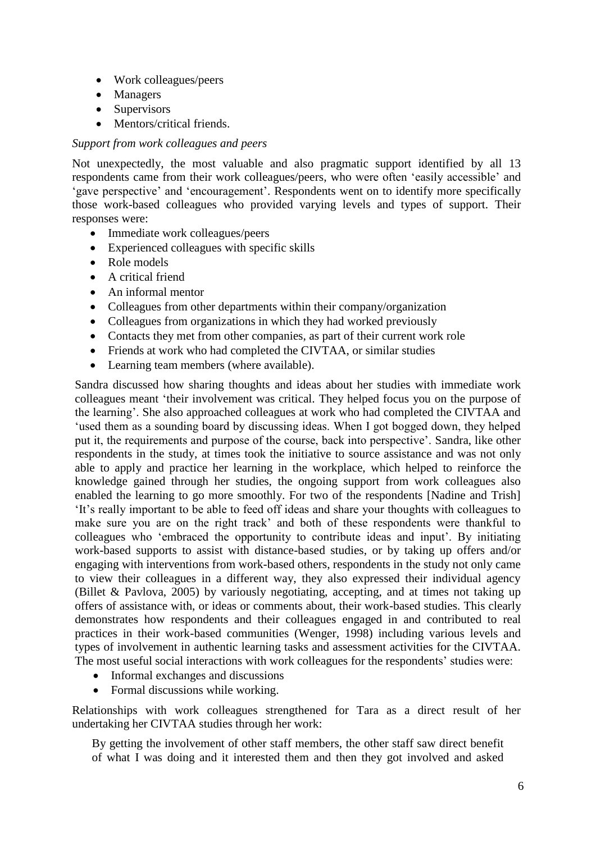- Work colleagues/peers
- Managers
- Supervisors
- Mentors/critical friends.

## *Support from work colleagues and peers*

Not unexpectedly, the most valuable and also pragmatic support identified by all 13 respondents came from their work colleagues/peers, who were often 'easily accessible' and 'gave perspective' and 'encouragement'. Respondents went on to identify more specifically those work-based colleagues who provided varying levels and types of support. Their responses were:

- Immediate work colleagues/peers
- Experienced colleagues with specific skills
- Role models
- A critical friend
- An informal mentor
- Colleagues from other departments within their company/organization
- Colleagues from organizations in which they had worked previously
- Contacts they met from other companies, as part of their current work role
- Friends at work who had completed the CIVTAA, or similar studies
- Learning team members (where available).

Sandra discussed how sharing thoughts and ideas about her studies with immediate work colleagues meant 'their involvement was critical. They helped focus you on the purpose of the learning'. She also approached colleagues at work who had completed the CIVTAA and 'used them as a sounding board by discussing ideas. When I got bogged down, they helped put it, the requirements and purpose of the course, back into perspective'. Sandra, like other respondents in the study, at times took the initiative to source assistance and was not only able to apply and practice her learning in the workplace, which helped to reinforce the knowledge gained through her studies, the ongoing support from work colleagues also enabled the learning to go more smoothly. For two of the respondents [Nadine and Trish] 'It's really important to be able to feed off ideas and share your thoughts with colleagues to make sure you are on the right track' and both of these respondents were thankful to colleagues who 'embraced the opportunity to contribute ideas and input'. By initiating work-based supports to assist with distance-based studies, or by taking up offers and/or engaging with interventions from work-based others, respondents in the study not only came to view their colleagues in a different way, they also expressed their individual agency (Billet & Pavlova, 2005) by variously negotiating, accepting, and at times not taking up offers of assistance with, or ideas or comments about, their work-based studies. This clearly demonstrates how respondents and their colleagues engaged in and contributed to real practices in their work-based communities (Wenger, 1998) including various levels and types of involvement in authentic learning tasks and assessment activities for the CIVTAA. The most useful social interactions with work colleagues for the respondents' studies were:

- Informal exchanges and discussions
- Formal discussions while working.

Relationships with work colleagues strengthened for Tara as a direct result of her undertaking her CIVTAA studies through her work:

By getting the involvement of other staff members, the other staff saw direct benefit of what I was doing and it interested them and then they got involved and asked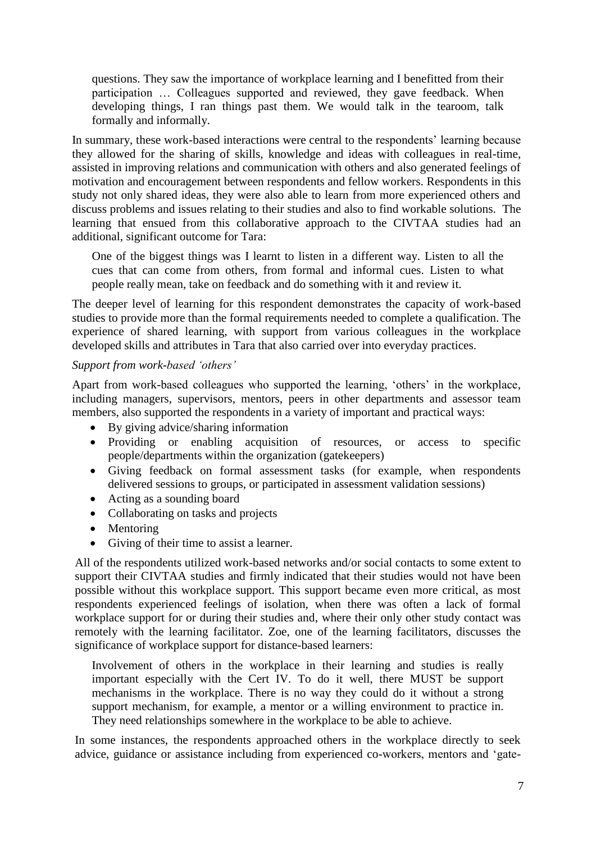questions. They saw the importance of workplace learning and I benefitted from their participation … Colleagues supported and reviewed, they gave feedback. When developing things, I ran things past them. We would talk in the tearoom, talk formally and informally.

In summary, these work-based interactions were central to the respondents' learning because they allowed for the sharing of skills, knowledge and ideas with colleagues in real-time, assisted in improving relations and communication with others and also generated feelings of motivation and encouragement between respondents and fellow workers. Respondents in this study not only shared ideas, they were also able to learn from more experienced others and discuss problems and issues relating to their studies and also to find workable solutions. The learning that ensued from this collaborative approach to the CIVTAA studies had an additional, significant outcome for Tara:

One of the biggest things was I learnt to listen in a different way. Listen to all the cues that can come from others, from formal and informal cues. Listen to what people really mean, take on feedback and do something with it and review it.

The deeper level of learning for this respondent demonstrates the capacity of work-based studies to provide more than the formal requirements needed to complete a qualification. The experience of shared learning, with support from various colleagues in the workplace developed skills and attributes in Tara that also carried over into everyday practices.

#### *Support from work-based 'others'*

Apart from work-based colleagues who supported the learning, 'others' in the workplace, including managers, supervisors, mentors, peers in other departments and assessor team members, also supported the respondents in a variety of important and practical ways:

- By giving advice/sharing information
- Providing or enabling acquisition of resources, or access to specific people/departments within the organization (gatekeepers)
- Giving feedback on formal assessment tasks (for example, when respondents delivered sessions to groups, or participated in assessment validation sessions)
- Acting as a sounding board
- Collaborating on tasks and projects
- Mentoring
- Giving of their time to assist a learner.

All of the respondents utilized work-based networks and/or social contacts to some extent to support their CIVTAA studies and firmly indicated that their studies would not have been possible without this workplace support. This support became even more critical, as most respondents experienced feelings of isolation, when there was often a lack of formal workplace support for or during their studies and, where their only other study contact was remotely with the learning facilitator. Zoe, one of the learning facilitators, discusses the significance of workplace support for distance-based learners:

Involvement of others in the workplace in their learning and studies is really important especially with the Cert IV. To do it well, there MUST be support mechanisms in the workplace. There is no way they could do it without a strong support mechanism, for example, a mentor or a willing environment to practice in. They need relationships somewhere in the workplace to be able to achieve.

In some instances, the respondents approached others in the workplace directly to seek advice, guidance or assistance including from experienced co-workers, mentors and 'gate-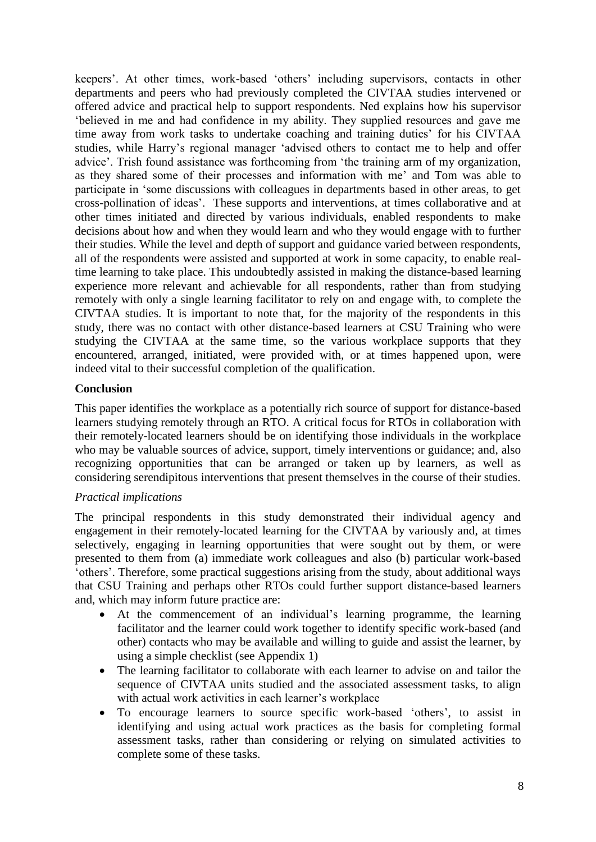keepers'. At other times, work-based 'others' including supervisors, contacts in other departments and peers who had previously completed the CIVTAA studies intervened or offered advice and practical help to support respondents. Ned explains how his supervisor 'believed in me and had confidence in my ability. They supplied resources and gave me time away from work tasks to undertake coaching and training duties' for his CIVTAA studies, while Harry's regional manager 'advised others to contact me to help and offer advice'. Trish found assistance was forthcoming from 'the training arm of my organization, as they shared some of their processes and information with me' and Tom was able to participate in 'some discussions with colleagues in departments based in other areas, to get cross-pollination of ideas'. These supports and interventions, at times collaborative and at other times initiated and directed by various individuals, enabled respondents to make decisions about how and when they would learn and who they would engage with to further their studies. While the level and depth of support and guidance varied between respondents, all of the respondents were assisted and supported at work in some capacity, to enable realtime learning to take place. This undoubtedly assisted in making the distance-based learning experience more relevant and achievable for all respondents, rather than from studying remotely with only a single learning facilitator to rely on and engage with, to complete the CIVTAA studies. It is important to note that, for the majority of the respondents in this study, there was no contact with other distance-based learners at CSU Training who were studying the CIVTAA at the same time, so the various workplace supports that they encountered, arranged, initiated, were provided with, or at times happened upon, were indeed vital to their successful completion of the qualification.

## **Conclusion**

This paper identifies the workplace as a potentially rich source of support for distance-based learners studying remotely through an RTO. A critical focus for RTOs in collaboration with their remotely-located learners should be on identifying those individuals in the workplace who may be valuable sources of advice, support, timely interventions or guidance; and, also recognizing opportunities that can be arranged or taken up by learners, as well as considering serendipitous interventions that present themselves in the course of their studies.

# *Practical implications*

The principal respondents in this study demonstrated their individual agency and engagement in their remotely-located learning for the CIVTAA by variously and, at times selectively, engaging in learning opportunities that were sought out by them, or were presented to them from (a) immediate work colleagues and also (b) particular work-based 'others'. Therefore, some practical suggestions arising from the study, about additional ways that CSU Training and perhaps other RTOs could further support distance-based learners and, which may inform future practice are:

- At the commencement of an individual's learning programme, the learning facilitator and the learner could work together to identify specific work-based (and other) contacts who may be available and willing to guide and assist the learner, by using a simple checklist (see Appendix 1)
- The learning facilitator to collaborate with each learner to advise on and tailor the sequence of CIVTAA units studied and the associated assessment tasks, to align with actual work activities in each learner's workplace
- To encourage learners to source specific work-based 'others', to assist in identifying and using actual work practices as the basis for completing formal assessment tasks, rather than considering or relying on simulated activities to complete some of these tasks.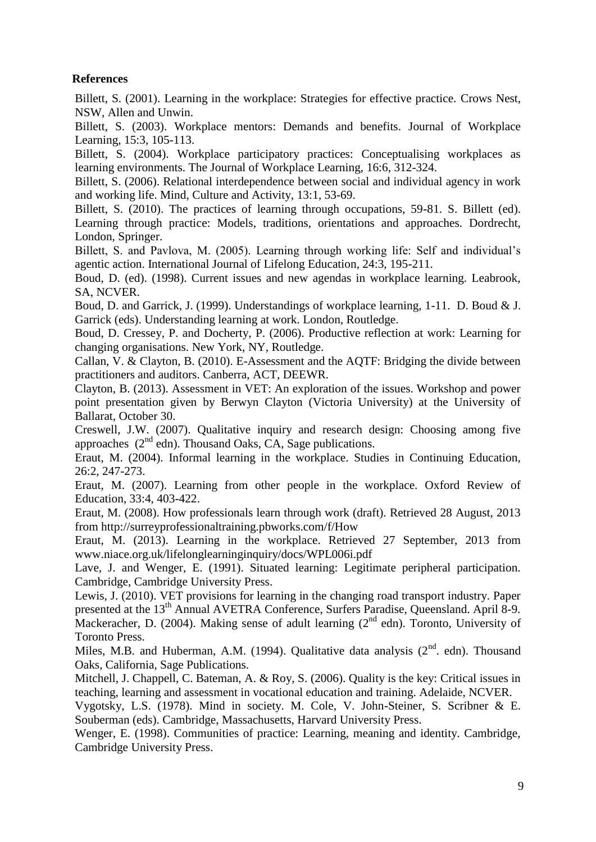# **References**

Billett, S. (2001). Learning in the workplace: Strategies for effective practice. Crows Nest, NSW, Allen and Unwin.

Billett, S. (2003). Workplace mentors: Demands and benefits. Journal of Workplace Learning, 15:3, 105-113.

Billett, S. (2004). Workplace participatory practices: Conceptualising workplaces as learning environments. The Journal of Workplace Learning, 16:6, 312-324.

Billett, S. (2006). Relational interdependence between social and individual agency in work and working life. Mind, Culture and Activity, 13:1, 53-69.

Billett, S. (2010). The practices of learning through occupations, 59-81. S. Billett (ed). Learning through practice: Models, traditions, orientations and approaches. Dordrecht, London, Springer.

Billett, S. and Pavlova, M. (2005). Learning through working life: Self and individual's agentic action. International Journal of Lifelong Education, 24:3, 195-211.

Boud, D. (ed). (1998). Current issues and new agendas in workplace learning. Leabrook, SA, NCVER.

Boud, D. and Garrick, J. (1999). Understandings of workplace learning, 1-11. D. Boud & J. Garrick (eds). Understanding learning at work. London, Routledge.

Boud, D. Cressey, P. and Docherty, P. (2006). Productive reflection at work: Learning for changing organisations. New York, NY, Routledge.

Callan, V. & Clayton, B. (2010). E-Assessment and the AQTF: Bridging the divide between practitioners and auditors. Canberra, ACT, DEEWR.

Clayton, B. (2013). Assessment in VET: An exploration of the issues. Workshop and power point presentation given by Berwyn Clayton (Victoria University) at the University of Ballarat, October 30.

Creswell, J.W. (2007). Qualitative inquiry and research design: Choosing among five approaches  $(2^{nd}$  edn). Thousand Oaks, CA, Sage publications.

Eraut, M. (2004). Informal learning in the workplace. Studies in Continuing Education, 26:2, 247-273.

Eraut, M. (2007). Learning from other people in the workplace. Oxford Review of Education, 33:4, 403-422.

Eraut, M. (2008). How professionals learn through work (draft). Retrieved 28 August, 2013 from http://surreyprofessionaltraining.pbworks.com/f/How

Eraut, M. (2013). Learning in the workplace. Retrieved 27 September, 2013 from www.niace.org.uk/lifelonglearninginquiry/docs/WPL006i.pdf

Lave, J. and Wenger, E. (1991). Situated learning: Legitimate peripheral participation. Cambridge, Cambridge University Press.

Lewis, J. (2010). VET provisions for learning in the changing road transport industry. Paper presented at the 13<sup>th</sup> Annual AVETRA Conference, Surfers Paradise, Queensland. April 8-9. Mackeracher, D. (2004). Making sense of adult learning ( $2<sup>nd</sup>$  edn). Toronto, University of Toronto Press.

Miles, M.B. and Huberman, A.M. (1994). Qualitative data analysis  $(2<sup>nd</sup>$ . edn). Thousand Oaks, California, Sage Publications.

Mitchell, J. Chappell, C. Bateman, A. & Roy, S. (2006). Quality is the key: Critical issues in teaching, learning and assessment in vocational education and training. Adelaide, NCVER.

Vygotsky, L.S. (1978). Mind in society. M. Cole, V. John-Steiner, S. Scribner & E. Souberman (eds). Cambridge, Massachusetts, Harvard University Press.

Wenger, E. (1998). Communities of practice: Learning, meaning and identity. Cambridge, Cambridge University Press.